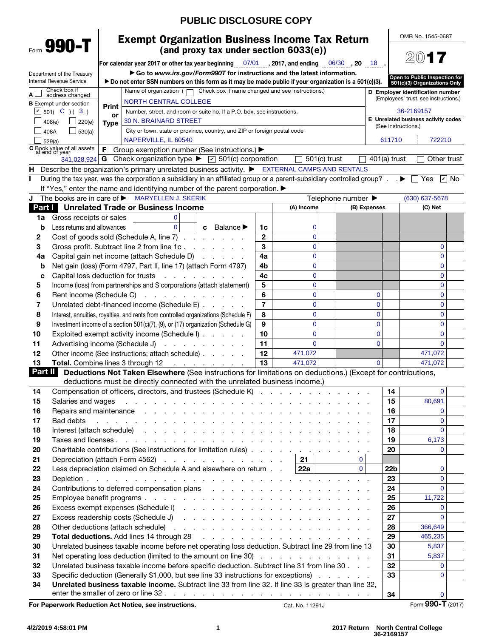|          |                                                               |                   |                                                                                                                                                                                                                                     | <b>PUBLIC DISCLOSURE COPY</b>         |                |                    |          |                |                     |                                                               |  |
|----------|---------------------------------------------------------------|-------------------|-------------------------------------------------------------------------------------------------------------------------------------------------------------------------------------------------------------------------------------|---------------------------------------|----------------|--------------------|----------|----------------|---------------------|---------------------------------------------------------------|--|
|          | Form 990-T                                                    |                   | <b>Exempt Organization Business Income Tax Return</b>                                                                                                                                                                               |                                       |                |                    |          |                |                     | OMB No. 1545-0687                                             |  |
|          |                                                               |                   |                                                                                                                                                                                                                                     | (and proxy tax under section 6033(e)) |                |                    |          |                |                     | 2017                                                          |  |
|          |                                                               |                   | For calendar year 2017 or other tax year beginning 07/01 3017, and ending $\frac{06}{30}$ , 20 18                                                                                                                                   |                                       |                |                    |          |                |                     |                                                               |  |
|          | Department of the Treasury<br><b>Internal Revenue Service</b> |                   | Go to www.irs.gov/Form9907 for instructions and the latest information.<br>► Do not enter SSN numbers on this form as it may be made public if your organization is a 501(c)(3).                                                    |                                       |                |                    |          |                |                     | Open to Public Inspection for<br>501(c)(3) Organizations Only |  |
|          | Check box if                                                  |                   | Name of organization $( \Box)$ Check box if name changed and see instructions.)                                                                                                                                                     |                                       |                |                    |          |                |                     | D Employer identification number                              |  |
| Αl       | address changed                                               |                   | <b>NORTH CENTRAL COLLEGE</b>                                                                                                                                                                                                        |                                       |                |                    |          |                |                     | (Employees' trust, see instructions.)                         |  |
|          | <b>B</b> Exempt under section<br>$\Box$ 501( C )( 3)          | Print             | Number, street, and room or suite no. If a P.O. box, see instructions.                                                                                                                                                              |                                       |                |                    |          |                |                     | 36-2169157                                                    |  |
|          | 408(e)<br>220(e)                                              | or<br><b>Type</b> | 30 N. BRAINARD STREET                                                                                                                                                                                                               |                                       |                |                    |          |                |                     | E Unrelated business activity codes                           |  |
| 408A     | 530(a)                                                        |                   | City or town, state or province, country, and ZIP or foreign postal code                                                                                                                                                            |                                       |                |                    |          |                | (See instructions.) |                                                               |  |
|          | 529(a)                                                        |                   | NAPERVILLE, IL 60540                                                                                                                                                                                                                |                                       |                |                    |          |                | 611710              | 722210                                                        |  |
|          | C Book value of all assets<br>at end of year                  |                   | <b>F</b> Group exemption number (See instructions.) ▶                                                                                                                                                                               |                                       |                |                    |          |                |                     |                                                               |  |
|          |                                                               |                   | 341,028,924 G Check organization type $\blacktriangleright$ $\triangleright$ 501(c) corporation                                                                                                                                     |                                       |                | $501(c)$ trust     |          | $401(a)$ trust |                     | Other trust                                                   |  |
| н        |                                                               |                   | Describe the organization's primary unrelated business activity. ▶ EXTERNAL CAMPS AND RENTALS                                                                                                                                       |                                       |                |                    |          |                |                     |                                                               |  |
| L        |                                                               |                   | During the tax year, was the corporation a subsidiary in an affiliated group or a parent-subsidiary controlled group? $\blacktriangleright \Box$ Yes $\boxdot$ No                                                                   |                                       |                |                    |          |                |                     |                                                               |  |
|          |                                                               |                   | If "Yes," enter the name and identifying number of the parent corporation.                                                                                                                                                          |                                       |                |                    |          |                |                     |                                                               |  |
| J        | The books are in care of $\blacktriangleright$                |                   | <b>MARYELLEN J. SKERIK</b>                                                                                                                                                                                                          |                                       |                | Telephone number ▶ |          |                |                     | (630) 637-5678                                                |  |
|          |                                                               |                   | <b>Part I</b> Unrelated Trade or Business Income                                                                                                                                                                                    |                                       |                | (A) Income         |          | (B) Expenses   |                     | (C) Net                                                       |  |
| 1a<br>b  | Gross receipts or sales<br>Less returns and allowances        |                   | $\mathbf{0}$<br>$\Omega$                                                                                                                                                                                                            | <b>Balance</b> ▶<br>c                 | 1c             | 0                  |          |                |                     |                                                               |  |
| 2        |                                                               |                   | Cost of goods sold (Schedule A, line 7)                                                                                                                                                                                             |                                       | $\mathbf{2}$   | 0                  |          |                |                     |                                                               |  |
| 3        |                                                               |                   | Gross profit. Subtract line 2 from line 1c                                                                                                                                                                                          |                                       | 3              | 0                  |          |                |                     | 0                                                             |  |
| 4a       |                                                               |                   | Capital gain net income (attach Schedule D)                                                                                                                                                                                         |                                       | 4a             | 0                  |          |                |                     | 0                                                             |  |
| b        |                                                               |                   | Net gain (loss) (Form 4797, Part II, line 17) (attach Form 4797)                                                                                                                                                                    |                                       | 4b             | 0                  |          |                |                     | 0                                                             |  |
| C        |                                                               |                   | Capital loss deduction for trusts                                                                                                                                                                                                   |                                       | 4c             | 0                  |          |                |                     | 0                                                             |  |
| 5        |                                                               |                   | Income (loss) from partnerships and S corporations (attach statement)                                                                                                                                                               |                                       | 5              | 0                  |          |                |                     | 0                                                             |  |
| 6        | Rent income (Schedule C)                                      |                   | the contract of the contract of the                                                                                                                                                                                                 |                                       | 6              | 0                  |          | 0              |                     | 0                                                             |  |
| 7        |                                                               |                   | Unrelated debt-financed income (Schedule E)                                                                                                                                                                                         |                                       | $\overline{7}$ | 0                  |          | 0              |                     | 0                                                             |  |
| 8        |                                                               |                   | Interest, annuities, royalties, and rents from controlled organizations (Schedule F)                                                                                                                                                |                                       | 8              | 0                  |          | 0              |                     | 0                                                             |  |
| 9        |                                                               |                   | Investment income of a section 501(c)(7), (9), or (17) organization (Schedule G)                                                                                                                                                    |                                       | 9              | 0                  |          | $\mathbf 0$    |                     | 0                                                             |  |
| 10       |                                                               |                   | Exploited exempt activity income (Schedule I)                                                                                                                                                                                       |                                       | 10             | 0                  |          | $\mathbf 0$    |                     | 0                                                             |  |
| 11       |                                                               |                   | Advertising income (Schedule J)                                                                                                                                                                                                     |                                       | 11             | $\overline{0}$     |          | $\overline{0}$ |                     | $\Omega$                                                      |  |
| 12       |                                                               |                   | Other income (See instructions; attach schedule)                                                                                                                                                                                    |                                       | 12             | 471,072            |          |                |                     | 471,072                                                       |  |
| 13       |                                                               |                   | Total. Combine lines 3 through 12                                                                                                                                                                                                   |                                       | 13             | 471,072            |          | $\Omega$       |                     | 471,072                                                       |  |
| Part II  |                                                               |                   | Deductions Not Taken Elsewhere (See instructions for limitations on deductions.) (Except for contributions,                                                                                                                         |                                       |                |                    |          |                |                     |                                                               |  |
|          |                                                               |                   | deductions must be directly connected with the unrelated business income.)                                                                                                                                                          |                                       |                |                    |          |                |                     |                                                               |  |
| 14       |                                                               |                   | Compensation of officers, directors, and trustees (Schedule K)                                                                                                                                                                      |                                       |                |                    |          |                | 14                  | $\mathbf{0}$                                                  |  |
| 15       | Salaries and wages                                            |                   | والمتعاون والمتعاون والمتعاون والمتعاونة والمتعاونة والمتعاونة والمتعاونة والمتعاونة                                                                                                                                                |                                       |                |                    |          |                | 15                  | 80,691                                                        |  |
| 16       |                                                               |                   | Repairs and maintenance response to the contract of the contract of the contract of the contract of the contract of the contract of the contract of the contract of the contract of the contract of the contract of the contra      |                                       |                |                    |          |                | 16                  | $\Omega$                                                      |  |
| 17       | Bad debts                                                     |                   | and the contract of the contract of the contract of the contract of the contract of the contract of the contract of the contract of the contract of the contract of the contract of the contract of the contract of the contra      |                                       |                |                    |          |                | 17                  | $\mathbf{0}$<br>$\Omega$                                      |  |
| 18<br>19 |                                                               |                   | Interest (attach schedule) and a subset of the contract of the contract of the contract of the contract of the contract of the contract of the contract of the contract of the contract of the contract of the contract of the      |                                       |                |                    |          |                | 18<br>19            | 6,173                                                         |  |
| 20       |                                                               |                   | Charitable contributions (See instructions for limitation rules)                                                                                                                                                                    |                                       |                |                    |          |                | 20                  | $\Omega$                                                      |  |
| 21       |                                                               |                   | Depreciation (attach Form 4562)                                                                                                                                                                                                     |                                       |                | 21                 | 0        |                |                     |                                                               |  |
| 22       |                                                               |                   | Less depreciation claimed on Schedule A and elsewhere on return                                                                                                                                                                     |                                       |                | <b>22a</b> l       | $\Omega$ |                | 22 <sub>b</sub>     | $\mathbf{0}$                                                  |  |
| 23       |                                                               |                   |                                                                                                                                                                                                                                     |                                       |                |                    |          |                | 23                  | $\mathbf{0}$                                                  |  |
| 24       |                                                               |                   | Contributions to deferred compensation plans results and results and results are a set of the contributions of $\alpha$                                                                                                             |                                       |                |                    |          |                | 24                  | $\mathbf{0}$                                                  |  |
| 25       |                                                               |                   |                                                                                                                                                                                                                                     |                                       |                |                    |          |                | 25                  | 11,722                                                        |  |
| 26       |                                                               |                   |                                                                                                                                                                                                                                     |                                       |                |                    |          |                | 26                  | $\Omega$                                                      |  |
| 27       |                                                               |                   |                                                                                                                                                                                                                                     |                                       |                |                    |          |                | 27                  | $\mathbf{0}$                                                  |  |
| 28       |                                                               |                   |                                                                                                                                                                                                                                     |                                       |                |                    |          |                | 28                  | 366,649                                                       |  |
| 29       |                                                               |                   | <b>Total deductions.</b> Add lines 14 through 28 (a) and a set of the set of the set of the set of the set of the set of the set of the set of the set of the set of the set of the set of the set of the set of the set of the set |                                       |                |                    |          |                | 29                  | 465,235                                                       |  |
| 30       |                                                               |                   | Unrelated business taxable income before net operating loss deduction. Subtract line 29 from line 13                                                                                                                                |                                       |                |                    |          |                | 30                  | 5,837                                                         |  |
| 31       |                                                               |                   | Net operating loss deduction (limited to the amount on line 30)                                                                                                                                                                     |                                       |                |                    |          |                | 31                  | 5,837                                                         |  |
| 32       |                                                               |                   | Unrelated business taxable income before specific deduction. Subtract line 31 from line 30                                                                                                                                          |                                       |                |                    |          |                | 32                  | $\Omega$                                                      |  |
| 33       |                                                               |                   | Specific deduction (Generally \$1,000, but see line 33 instructions for exceptions)                                                                                                                                                 |                                       |                |                    |          |                | 33                  | $\Omega$                                                      |  |
| 34       |                                                               |                   | Unrelated business taxable income. Subtract line 33 from line 32. If line 33 is greater than line 32,                                                                                                                               |                                       |                |                    |          |                |                     |                                                               |  |
|          |                                                               |                   | enter the smaller of zero or line $32.$ $\ldots$ $\ldots$ $\ldots$ $\ldots$ $\ldots$ $\ldots$ $\ldots$ $\ldots$ $\ldots$                                                                                                            |                                       |                |                    |          |                | 34                  | $\Omega$<br>Form 990-T (2017)                                 |  |
|          |                                                               |                   | For Paperwork Reduction Act Notice, see instructions.                                                                                                                                                                               |                                       |                | Cat. No. 11291J    |          |                |                     |                                                               |  |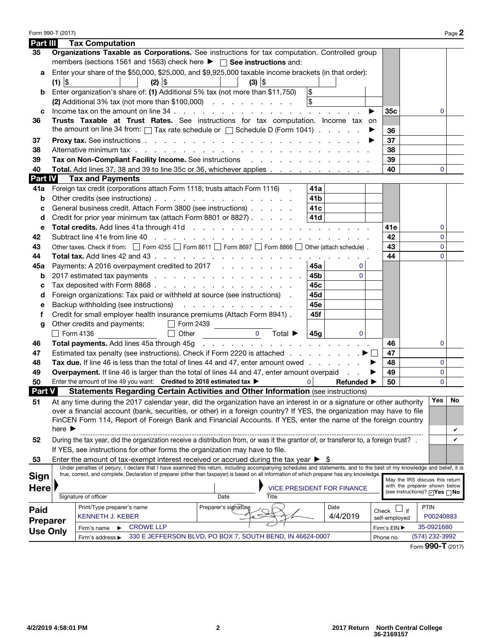| Part III        |                            | <b>Tax Computation</b>               |                                                                                                                                                                                                                                     |                      |                                         |                 |                                   |                                  |                                     |    |
|-----------------|----------------------------|--------------------------------------|-------------------------------------------------------------------------------------------------------------------------------------------------------------------------------------------------------------------------------------|----------------------|-----------------------------------------|-----------------|-----------------------------------|----------------------------------|-------------------------------------|----|
| 35              |                            |                                      | Organizations Taxable as Corporations. See instructions for tax computation. Controlled group                                                                                                                                       |                      |                                         |                 |                                   |                                  |                                     |    |
|                 |                            |                                      | members (sections 1561 and 1563) check here $\blacktriangleright \ \ \square$ See instructions and:                                                                                                                                 |                      |                                         |                 |                                   |                                  |                                     |    |
| a               |                            |                                      | Enter your share of the \$50,000, \$25,000, and \$9,925,000 taxable income brackets (in that order):                                                                                                                                |                      |                                         |                 |                                   |                                  |                                     |    |
|                 | $(1)$ \$                   |                                      | $(2)$ \$                                                                                                                                                                                                                            |                      | $(3)$ $ $                               |                 |                                   |                                  |                                     |    |
| b               |                            |                                      | Enter organization's share of: (1) Additional 5% tax (not more than \$11,750)                                                                                                                                                       |                      |                                         | \$              |                                   |                                  |                                     |    |
|                 |                            |                                      | (2) Additional 3% tax (not more than \$100,000) $\ldots$ $\ldots$ $\ldots$                                                                                                                                                          |                      |                                         | $\sqrt{3}$      |                                   |                                  |                                     |    |
| c               |                            |                                      |                                                                                                                                                                                                                                     |                      |                                         |                 | ▶                                 | 35c                              | 0                                   |    |
| 36              |                            |                                      | Trusts Taxable at Trust Rates. See instructions for tax computation. Income tax on                                                                                                                                                  |                      |                                         |                 |                                   |                                  |                                     |    |
|                 |                            |                                      | the amount on line 34 from: $\Box$ Tax rate schedule or $\Box$ Schedule D (Form 1041) $\ldots$                                                                                                                                      |                      |                                         |                 |                                   | 36                               |                                     |    |
| 37              |                            |                                      |                                                                                                                                                                                                                                     |                      |                                         |                 |                                   | 37                               |                                     |    |
| 38              |                            |                                      | Alternative minimum tax experience and a series of the series of the series of the series of the series of the                                                                                                                      |                      |                                         |                 |                                   | 38                               |                                     |    |
| 39              |                            |                                      | Tax on Non-Compliant Facility Income. See instructions enter the state of the state of the Second Library of T                                                                                                                      |                      |                                         |                 |                                   | 39                               |                                     |    |
| 40              |                            |                                      | Total. Add lines 37, 38 and 39 to line 35c or 36, whichever applies                                                                                                                                                                 |                      |                                         |                 |                                   | 40                               | 0                                   |    |
| Part IV         |                            | <b>Tax and Payments</b>              |                                                                                                                                                                                                                                     |                      |                                         |                 |                                   |                                  |                                     |    |
| 41a             |                            |                                      | Foreign tax credit (corporations attach Form 1118; trusts attach Form 1116) .                                                                                                                                                       |                      |                                         | 41a             |                                   |                                  |                                     |    |
| b               |                            |                                      | Other credits (see instructions)                                                                                                                                                                                                    |                      |                                         | 41 <sub>b</sub> |                                   |                                  |                                     |    |
| c               |                            |                                      | General business credit. Attach Form 3800 (see instructions)                                                                                                                                                                        |                      |                                         | 41 <sub>c</sub> |                                   |                                  |                                     |    |
| d               |                            |                                      | Credit for prior year minimum tax (attach Form 8801 or 8827)                                                                                                                                                                        |                      |                                         | 41d             |                                   |                                  |                                     |    |
| e               |                            |                                      | Total credits. Add lines 41a through 41d (e.g. by and example 2011) and a contract the contract of the contract of the contract of the contract of the contract of the contract of the contract of the contract of the contrac      |                      |                                         |                 |                                   | 41e                              | 0                                   |    |
| 42              |                            |                                      |                                                                                                                                                                                                                                     |                      |                                         |                 |                                   | 42                               | 0                                   |    |
| 43              |                            |                                      | Other taxes. Check if from: $\Box$ Form 4255 $\Box$ Form 8611 $\Box$ Form 8697 $\Box$ Form 8866 $\Box$ Other (attach schedule).                                                                                                     |                      |                                         |                 |                                   | 43                               | $\mathbf{0}$                        |    |
| 44              |                            |                                      |                                                                                                                                                                                                                                     |                      |                                         |                 |                                   | 44                               | $\Omega$                            |    |
| 45а             |                            |                                      | Payments: A 2016 overpayment credited to 2017                                                                                                                                                                                       |                      |                                         | 45a             | $\mathbf 0$                       |                                  |                                     |    |
| b               |                            |                                      | 2017 estimated tax payments                                                                                                                                                                                                         |                      |                                         | 45b             | $\overline{0}$                    |                                  |                                     |    |
| c               |                            |                                      | Tax deposited with Form 8868.                                                                                                                                                                                                       |                      |                                         | 45c             |                                   |                                  |                                     |    |
| d               |                            |                                      | Foreign organizations: Tax paid or withheld at source (see instructions).                                                                                                                                                           |                      |                                         | 45d             |                                   |                                  |                                     |    |
| е               |                            |                                      | Backup withholding (see instructions)                                                                                                                                                                                               |                      |                                         | 45e             |                                   |                                  |                                     |    |
| f               |                            |                                      | Credit for small employer health insurance premiums (Attach Form 8941).                                                                                                                                                             |                      |                                         | 45f             |                                   |                                  |                                     |    |
| g               |                            | Other credits and payments:          |                                                                                                                                                                                                                                     | Form 2439            |                                         |                 |                                   |                                  |                                     |    |
|                 | $\Box$ Form 4136           |                                      | $\Box$ Other                                                                                                                                                                                                                        |                      | $\Omega$<br>Total $\blacktriangleright$ | 45 <sub>q</sub> | $\mathbf{0}$                      |                                  |                                     |    |
| 46              |                            |                                      | <b>Total payments.</b> Add lines 45a through 45g parameters and contact the contact of the contact of the contact of the contact of the contact of the contact of the contact of the contact of the contact of the contact of the c |                      |                                         |                 |                                   | 46                               | 0                                   |    |
| 47              |                            |                                      | Estimated tax penalty (see instructions). Check if Form 2220 is attached $\ldots$ , $\ldots$ , $\blacksquare$                                                                                                                       |                      |                                         |                 |                                   | 47                               |                                     |    |
| 48              |                            |                                      | Tax due. If line 46 is less than the total of lines 44 and 47, enter amount owed                                                                                                                                                    |                      |                                         |                 |                                   | 48                               | $\mathbf{0}$                        |    |
| 49              |                            |                                      | <b>Overpayment.</b> If line 46 is larger than the total of lines 44 and 47, enter amount overpaid                                                                                                                                   |                      |                                         |                 |                                   | 49<br>▶                          | 0                                   |    |
| 50              |                            |                                      | Enter the amount of line 49 you want: Credited to 2018 estimated tax >                                                                                                                                                              |                      |                                         | $\mathbf{0}$    | Refunded $\blacktriangleright$    | 50                               | $\Omega$                            |    |
| <b>Part V</b>   |                            |                                      | Statements Regarding Certain Activities and Other Information (see instructions)                                                                                                                                                    |                      |                                         |                 |                                   |                                  |                                     |    |
| 51              |                            |                                      | At any time during the 2017 calendar year, did the organization have an interest in or a signature or other authority                                                                                                               |                      |                                         |                 |                                   |                                  | Yes <sub>1</sub>                    | No |
|                 |                            |                                      | over a financial account (bank, securities, or other) in a foreign country? If YES, the organization may have to file                                                                                                               |                      |                                         |                 |                                   |                                  |                                     |    |
|                 |                            |                                      | FinCEN Form 114, Report of Foreign Bank and Financial Accounts. If YES, enter the name of the foreign country                                                                                                                       |                      |                                         |                 |                                   |                                  |                                     |    |
|                 | here $\blacktriangleright$ |                                      |                                                                                                                                                                                                                                     |                      |                                         |                 |                                   |                                  |                                     | v  |
| 52              |                            |                                      | During the tax year, did the organization receive a distribution from, or was it the grantor of, or transferor to, a foreign trust? .                                                                                               |                      |                                         |                 |                                   |                                  |                                     | V  |
|                 |                            |                                      | If YES, see instructions for other forms the organization may have to file.                                                                                                                                                         |                      |                                         |                 |                                   |                                  |                                     |    |
| 53              |                            |                                      | Enter the amount of tax-exempt interest received or accrued during the tax year $\triangleright$ \$                                                                                                                                 |                      |                                         |                 |                                   |                                  |                                     |    |
|                 |                            |                                      | Under penalties of perjury, I declare that I have examined this return, including accompanying schedules and statements, and to the best of my knowledge and belief, it is                                                          |                      |                                         |                 |                                   |                                  |                                     |    |
| Sign            |                            |                                      | true, correct, and complete. Declaration of preparer (other than taxpayer) is based on all information of which preparer has any knowledge.                                                                                         |                      |                                         |                 |                                   |                                  | May the IRS discuss this return     |    |
| Here            |                            |                                      |                                                                                                                                                                                                                                     |                      |                                         |                 | <b>VICE PRESIDENT FOR FINANCE</b> |                                  | with the preparer shown below       |    |
|                 |                            | Signature of officer                 |                                                                                                                                                                                                                                     | Date                 | Title                                   |                 |                                   |                                  | (see instructions)? <b>DYes</b> DNo |    |
|                 |                            | Print/Type preparer's name           |                                                                                                                                                                                                                                     | Preparer's signature |                                         |                 | Date                              |                                  | <b>PTIN</b>                         |    |
| Paid            |                            | <b>KENNETH J. KEBER</b>              |                                                                                                                                                                                                                                     |                      |                                         |                 | 4/4/2019                          | Check $\Box$ if<br>self-employed | P00240883                           |    |
| Preparer        |                            | Firm's name<br>$\blacktriangleright$ | <b>CROWE LLP</b>                                                                                                                                                                                                                    |                      |                                         |                 |                                   | Firm's EIN ▶                     | 35-0921680                          |    |
| <b>Use Only</b> |                            | Firm's address ▶                     | 330 E JEFFERSON BLVD, PO BOX 7, SOUTH BEND, IN 46624-0007                                                                                                                                                                           |                      |                                         |                 |                                   | Phone no.                        | (574) 232-3992                      |    |
|                 |                            |                                      |                                                                                                                                                                                                                                     |                      |                                         |                 |                                   |                                  |                                     |    |

Form 990-T (2017)  $P_{\text{age}} 2$ 

|  |  |  | Form 990-T (2017) |
|--|--|--|-------------------|
|--|--|--|-------------------|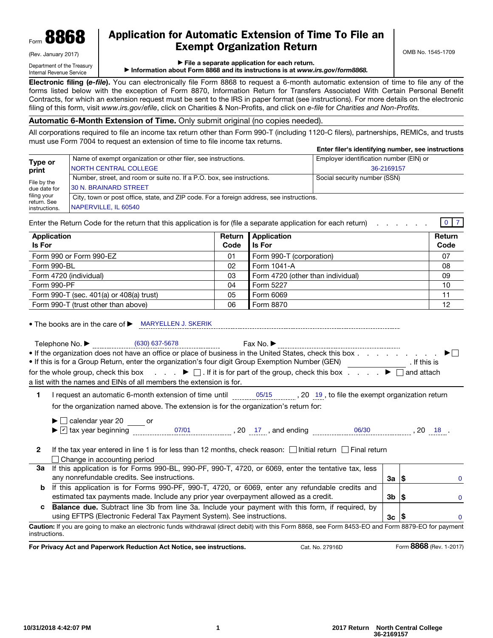

# Application for Automatic Extension of Time To File an Exempt Organization Return

(Rev. January 2017) Department of the Treasury Internal Revenue Service

▶ File a separate application for each return.

▶ Information about Form 8868 and its instructions is at *www.irs.gov/form8868.*

Electronic filing (*e-file*). You can electronically file Form 8868 to request a 6-month automatic extension of time to file any of the forms listed below with the exception of Form 8870, Information Return for Transfers Associated With Certain Personal Benefit Contracts, for which an extension request must be sent to the IRS in paper format (see instructions). For more details on the electronic filing of this form, visit *www.irs.gov/efile*, click on Charities & Non-Profits, and click on *e-file* for *Charities and Non-Profits.*

#### Automatic 6-Month Extension of Time. Only submit original (no copies needed).

All corporations required to file an income tax return other than Form 990-T (including 1120-C filers), partnerships, REMICs, and trusts must use Form 7004 to request an extension of time to file income tax returns.

|                              |                                                                                          | Enter filer's identifying number, see instructions |  |  |  |  |  |
|------------------------------|------------------------------------------------------------------------------------------|----------------------------------------------------|--|--|--|--|--|
| Type or                      | Name of exempt organization or other filer, see instructions.                            | Employer identification number (EIN) or            |  |  |  |  |  |
| print                        | <b>NORTH CENTRAL COLLEGE</b>                                                             | 36-2169157                                         |  |  |  |  |  |
| File by the                  | Number, street, and room or suite no. If a P.O. box, see instructions.                   | Social security number (SSN)                       |  |  |  |  |  |
| due date for                 | 130 N. BRAINARD STREET                                                                   |                                                    |  |  |  |  |  |
| filing your                  | City, town or post office, state, and ZIP code. For a foreign address, see instructions. |                                                    |  |  |  |  |  |
| return. See<br>instructions. | NAPERVILLE, IL 60540                                                                     |                                                    |  |  |  |  |  |

Enter the Return Code for the return that this application is for (file a separate application for each return) . . . . . . . 0 7

| Application                              |      | Return   Application              | Return |
|------------------------------------------|------|-----------------------------------|--------|
| <b>Is For</b>                            | Code | l Is For                          | Code   |
| Form 990 or Form 990-EZ                  | 01   | Form 990-T (corporation)          | 07     |
| Form 990-BL                              | 02   | Form 1041-A                       | 08     |
| Form 4720 (individual)                   | 03   | Form 4720 (other than individual) | 09     |
| Form 990-PF                              | 04   | Form 5227                         | 10     |
| Form 990-T (sec. 401(a) or 408(a) trust) | 05   | Form 6069                         | 11     |
| Form 990-T (trust other than above)      | 06   | Form 8870                         | 12     |

• The books are in the care of ▶ MARYELLEN J. SKERIK

Telephone No.

Fay No ▶

| Telephone No. $\blacktriangleright$ | (630) 637-5678                                                      | Fax No. $\blacktriangleright$                                                                                                 |              |  |
|-------------------------------------|---------------------------------------------------------------------|-------------------------------------------------------------------------------------------------------------------------------|--------------|--|
|                                     |                                                                     | If the organization does not have an office or place of business in the United States, check this box $\dots$ $\dots$ $\dots$ |              |  |
|                                     |                                                                     | • If this is for a Group Return, enter the organization's four digit Group Exemption Number (GEN)                             | . If this is |  |
|                                     |                                                                     | for the whole group, check this box $\bullet$ . If it is for part of the group, check this box $\bullet$ $\bullet$ and attach |              |  |
|                                     | a list with the names and EINs of all members the extension is for. |                                                                                                                               |              |  |

1 I request an automatic 6-month extension of time until  $\frac{05}{12}$ for the organization named above. The extension is for the organization's return for: ..........., 20 19, to file the exempt organization return

 $\blacktriangleright$   $\Box$  calendar year 20  $\_\_\_\_$  or

- $\blacktriangleright \boxed{\triangleright}$  tax year beginning  $\space$  07/01  $\space$  , 20  $\space$  17 , and ending  $\space$  06/30  $\space$  , 20  $\space$  18  $\space$
- 2 If the tax year entered in line 1 is for less than 12 months, check reason:  $\Box$  Initial return  $\Box$  Final return □ Change in accounting period

| 3a If this application is for Forms 990-BL, 990-PF, 990-T, 4720, or 6069, enter the tentative tax, less  |                 |          |
|----------------------------------------------------------------------------------------------------------|-----------------|----------|
| any nonrefundable credits. See instructions.                                                             | 3a ∣\$          | 0        |
| <b>b</b> If this application is for Forms 990-PF, 990-T, 4720, or 6069, enter any refundable credits and |                 |          |
| estimated tax payments made. Include any prior year overpayment allowed as a credit.                     | $3b \mid s$     | 0        |
| c Balance due. Subtract line 3b from line 3a. Include your payment with this form, if required, by       |                 |          |
| using EFTPS (Electronic Federal Tax Payment System). See instructions.                                   | $3c$ $\sqrt{5}$ | $\Omega$ |

Caution: If you are going to make an electronic funds withdrawal (direct debit) with this Form 8868, see Form 8453-EO and Form 8879-EO for payment instructions.

For Privacy Act and Paperwork Reduction Act Notice, see instructions. Cat. No. 27916D Form 8868 (Rev. 1-2017)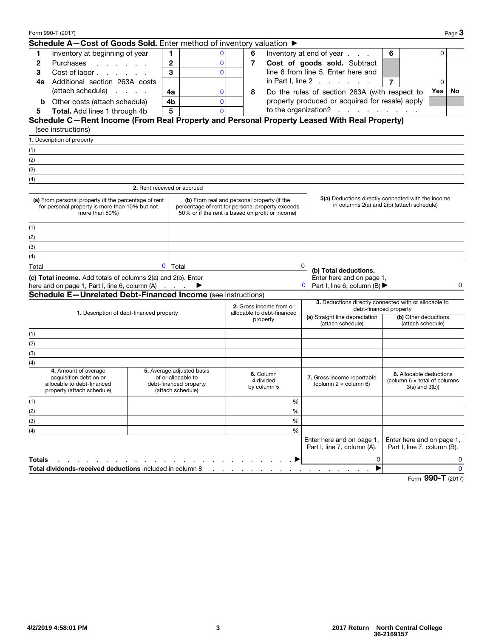|                                                                                                                                                                                                                                                                                  | Form 990-T (2017)                                                                                          |              |                                                                                                |              |   |                                                       |              |                                                                                                  |                |                                                                                            |             | Page $3$    |
|----------------------------------------------------------------------------------------------------------------------------------------------------------------------------------------------------------------------------------------------------------------------------------|------------------------------------------------------------------------------------------------------------|--------------|------------------------------------------------------------------------------------------------|--------------|---|-------------------------------------------------------|--------------|--------------------------------------------------------------------------------------------------|----------------|--------------------------------------------------------------------------------------------|-------------|-------------|
|                                                                                                                                                                                                                                                                                  | Schedule A-Cost of Goods Sold. Enter method of inventory valuation ▶                                       |              |                                                                                                |              |   |                                                       |              |                                                                                                  |                |                                                                                            |             |             |
| 1                                                                                                                                                                                                                                                                                | Inventory at beginning of year                                                                             |              | 1                                                                                              | 0            | 6 |                                                       |              | Inventory at end of year                                                                         | 6              |                                                                                            | $\Omega$    |             |
| 2                                                                                                                                                                                                                                                                                | Purchases<br>and the company of the company of                                                             |              | $\mathbf{2}$                                                                                   | $\mathbf 0$  | 7 |                                                       |              | Cost of goods sold. Subtract                                                                     |                |                                                                                            |             |             |
| 3                                                                                                                                                                                                                                                                                | Cost of labor                                                                                              |              | 3                                                                                              | $\mathbf 0$  |   |                                                       |              | line 6 from line 5. Enter here and                                                               |                |                                                                                            |             |             |
| 4a                                                                                                                                                                                                                                                                               | Additional section 263A costs                                                                              |              |                                                                                                |              |   |                                                       |              | in Part I, line $2 \cdot 1 \cdot 1 \cdot 1 \cdot 1$                                              | $\overline{7}$ |                                                                                            | $\mathbf 0$ |             |
|                                                                                                                                                                                                                                                                                  | (attach schedule)                                                                                          |              | 4a                                                                                             | 0            | 8 |                                                       |              | Do the rules of section 263A (with respect to                                                    |                |                                                                                            | Yes         | No          |
| b                                                                                                                                                                                                                                                                                | Other costs (attach schedule)                                                                              |              | 4b                                                                                             | $\mathbf{0}$ |   |                                                       |              | property produced or acquired for resale) apply                                                  |                |                                                                                            |             |             |
| 5                                                                                                                                                                                                                                                                                | Total. Add lines 1 through 4b                                                                              |              | 5                                                                                              | $\Omega$     |   |                                                       |              | to the organization?                                                                             |                |                                                                                            |             |             |
|                                                                                                                                                                                                                                                                                  | Schedule C-Rent Income (From Real Property and Personal Property Leased With Real Property)                |              |                                                                                                |              |   |                                                       |              |                                                                                                  |                |                                                                                            |             |             |
|                                                                                                                                                                                                                                                                                  | (see instructions)                                                                                         |              |                                                                                                |              |   |                                                       |              |                                                                                                  |                |                                                                                            |             |             |
|                                                                                                                                                                                                                                                                                  | 1. Description of property                                                                                 |              |                                                                                                |              |   |                                                       |              |                                                                                                  |                |                                                                                            |             |             |
| (1)                                                                                                                                                                                                                                                                              |                                                                                                            |              |                                                                                                |              |   |                                                       |              |                                                                                                  |                |                                                                                            |             |             |
| (2)                                                                                                                                                                                                                                                                              |                                                                                                            |              |                                                                                                |              |   |                                                       |              |                                                                                                  |                |                                                                                            |             |             |
| (3)                                                                                                                                                                                                                                                                              |                                                                                                            |              |                                                                                                |              |   |                                                       |              |                                                                                                  |                |                                                                                            |             |             |
| (4)                                                                                                                                                                                                                                                                              |                                                                                                            |              |                                                                                                |              |   |                                                       |              |                                                                                                  |                |                                                                                            |             |             |
|                                                                                                                                                                                                                                                                                  |                                                                                                            |              | 2. Rent received or accrued                                                                    |              |   |                                                       |              |                                                                                                  |                |                                                                                            |             |             |
| (a) From personal property (if the percentage of rent<br>(b) From real and personal property (if the<br>for personal property is more than 10% but not<br>percentage of rent for personal property exceeds<br>more than 50%)<br>50% or if the rent is based on profit or income) |                                                                                                            |              |                                                                                                |              |   |                                                       |              | 3(a) Deductions directly connected with the income<br>in columns 2(a) and 2(b) (attach schedule) |                |                                                                                            |             |             |
| (1)                                                                                                                                                                                                                                                                              |                                                                                                            |              |                                                                                                |              |   |                                                       |              |                                                                                                  |                |                                                                                            |             |             |
| (2)                                                                                                                                                                                                                                                                              |                                                                                                            |              |                                                                                                |              |   |                                                       |              |                                                                                                  |                |                                                                                            |             |             |
| $(3)$                                                                                                                                                                                                                                                                            |                                                                                                            |              |                                                                                                |              |   |                                                       |              |                                                                                                  |                |                                                                                            |             |             |
| (4)                                                                                                                                                                                                                                                                              |                                                                                                            |              |                                                                                                |              |   |                                                       |              |                                                                                                  |                |                                                                                            |             |             |
| Total                                                                                                                                                                                                                                                                            |                                                                                                            | $\mathbf{0}$ | Total                                                                                          |              |   |                                                       | $\mathbf{0}$ |                                                                                                  |                |                                                                                            |             |             |
|                                                                                                                                                                                                                                                                                  | (c) Total income. Add totals of columns 2(a) and 2(b). Enter                                               |              |                                                                                                |              |   |                                                       |              | (b) Total deductions.<br>Enter here and on page 1,                                               |                |                                                                                            |             |             |
|                                                                                                                                                                                                                                                                                  | here and on page 1, Part I, line 6, column (A)                                                             |              |                                                                                                |              |   |                                                       |              | Part I, line 6, column (B) $\blacktriangleright$                                                 |                |                                                                                            |             | $\Omega$    |
|                                                                                                                                                                                                                                                                                  | Schedule E-Unrelated Debt-Financed Income (see instructions)                                               |              |                                                                                                |              |   |                                                       |              |                                                                                                  |                |                                                                                            |             |             |
|                                                                                                                                                                                                                                                                                  |                                                                                                            |              |                                                                                                |              |   | 2. Gross income from or<br>allocable to debt-financed |              | 3. Deductions directly connected with or allocable to<br>debt-financed property                  |                |                                                                                            |             |             |
|                                                                                                                                                                                                                                                                                  | 1. Description of debt-financed property                                                                   |              |                                                                                                |              |   | property                                              |              | (a) Straight line depreciation<br>(b) Other deductions<br>(attach schedule)<br>(attach schedule) |                |                                                                                            |             |             |
| (1)                                                                                                                                                                                                                                                                              |                                                                                                            |              |                                                                                                |              |   |                                                       |              |                                                                                                  |                |                                                                                            |             |             |
| (2)                                                                                                                                                                                                                                                                              |                                                                                                            |              |                                                                                                |              |   |                                                       |              |                                                                                                  |                |                                                                                            |             |             |
| (3)                                                                                                                                                                                                                                                                              |                                                                                                            |              |                                                                                                |              |   |                                                       |              |                                                                                                  |                |                                                                                            |             |             |
| (4)                                                                                                                                                                                                                                                                              |                                                                                                            |              |                                                                                                |              |   |                                                       |              |                                                                                                  |                |                                                                                            |             |             |
|                                                                                                                                                                                                                                                                                  | 4. Amount of average<br>acquisition debt on or<br>allocable to debt-financed<br>property (attach schedule) |              | 5. Average adjusted basis<br>of or allocable to<br>debt-financed property<br>(attach schedule) |              |   | 6. Column<br>4 divided<br>by column 5                 |              | 7. Gross income reportable<br>(column $2 \times$ column 6)                                       |                | <b>8.</b> Allocable deductions<br>(column $6 \times$ total of columns<br>$3(a)$ and $3(b)$ |             |             |
| (1)                                                                                                                                                                                                                                                                              |                                                                                                            |              |                                                                                                |              |   | %                                                     |              |                                                                                                  |                |                                                                                            |             |             |
| (2)                                                                                                                                                                                                                                                                              |                                                                                                            |              |                                                                                                |              |   | $\%$                                                  |              |                                                                                                  |                |                                                                                            |             |             |
| (3)                                                                                                                                                                                                                                                                              |                                                                                                            |              |                                                                                                |              |   | $\%$                                                  |              |                                                                                                  |                |                                                                                            |             |             |
| (4)                                                                                                                                                                                                                                                                              |                                                                                                            |              |                                                                                                |              |   | %                                                     |              |                                                                                                  |                |                                                                                            |             |             |
|                                                                                                                                                                                                                                                                                  |                                                                                                            |              |                                                                                                |              |   |                                                       |              | Enter here and on page 1,<br>Part I, line 7, column (A).                                         |                | Enter here and on page 1,<br>Part I, line 7, column (B).                                   |             |             |
| <b>Totals</b>                                                                                                                                                                                                                                                                    |                                                                                                            |              |                                                                                                |              |   |                                                       |              | $\mathbf 0$                                                                                      |                |                                                                                            |             | 0           |
|                                                                                                                                                                                                                                                                                  | Total dividends-received deductions included in column 8                                                   |              |                                                                                                |              |   |                                                       |              | ▶                                                                                                |                |                                                                                            |             | $\mathbf 0$ |
|                                                                                                                                                                                                                                                                                  |                                                                                                            |              |                                                                                                |              |   |                                                       |              |                                                                                                  |                |                                                                                            | nnn         |             |

Form 990-T (2017)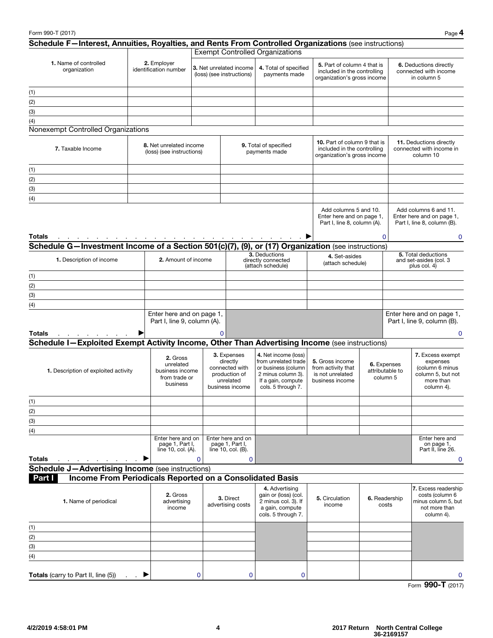|               | Schedule F-Interest, Annuities, Royalties, and Rents From Controlled Organizations (see instructions) |                                                                       |          |                                                                                            | <b>Exempt Controlled Organizations</b>                                                                                                |                                                                                            |  |                                            |                                                                                                  |
|---------------|-------------------------------------------------------------------------------------------------------|-----------------------------------------------------------------------|----------|--------------------------------------------------------------------------------------------|---------------------------------------------------------------------------------------------------------------------------------------|--------------------------------------------------------------------------------------------|--|--------------------------------------------|--------------------------------------------------------------------------------------------------|
|               | 1. Name of controlled<br>organization                                                                 | 2. Employer<br>identification number                                  |          | 3. Net unrelated income<br>(loss) (see instructions)                                       | 4. Total of specified<br>payments made                                                                                                | 5. Part of column 4 that is<br>included in the controlling<br>organization's gross income  |  |                                            | 6. Deductions directly<br>connected with income<br>in column 5                                   |
| (1)           |                                                                                                       |                                                                       |          |                                                                                            |                                                                                                                                       |                                                                                            |  |                                            |                                                                                                  |
| (2)           |                                                                                                       |                                                                       |          |                                                                                            |                                                                                                                                       |                                                                                            |  |                                            |                                                                                                  |
| (3)           |                                                                                                       |                                                                       |          |                                                                                            |                                                                                                                                       |                                                                                            |  |                                            |                                                                                                  |
| (4)           |                                                                                                       |                                                                       |          |                                                                                            |                                                                                                                                       |                                                                                            |  |                                            |                                                                                                  |
|               | Nonexempt Controlled Organizations                                                                    |                                                                       |          |                                                                                            |                                                                                                                                       |                                                                                            |  |                                            |                                                                                                  |
|               | 7. Taxable Income                                                                                     | 8. Net unrelated income<br>(loss) (see instructions)                  |          |                                                                                            | 9. Total of specified<br>payments made                                                                                                | 10. Part of column 9 that is<br>included in the controlling<br>organization's gross income |  |                                            | 11. Deductions directly<br>connected with income in<br>column 10                                 |
| (1)           |                                                                                                       |                                                                       |          |                                                                                            |                                                                                                                                       |                                                                                            |  |                                            |                                                                                                  |
| (2)           |                                                                                                       |                                                                       |          |                                                                                            |                                                                                                                                       |                                                                                            |  |                                            |                                                                                                  |
| (3)           |                                                                                                       |                                                                       |          |                                                                                            |                                                                                                                                       |                                                                                            |  |                                            |                                                                                                  |
| (4)           |                                                                                                       |                                                                       |          |                                                                                            |                                                                                                                                       |                                                                                            |  |                                            |                                                                                                  |
| <b>Totals</b> |                                                                                                       |                                                                       |          |                                                                                            |                                                                                                                                       | Add columns 5 and 10.<br>Enter here and on page 1,<br>Part I, line 8, column (A).          |  | $\Omega$                                   | Add columns 6 and 11.<br>Enter here and on page 1,<br>Part I, line 8, column (B).<br>$\mathbf 0$ |
|               | Schedule G-Investment Income of a Section 501(c)(7), (9), or (17) Organization (see instructions)     |                                                                       |          |                                                                                            |                                                                                                                                       |                                                                                            |  |                                            |                                                                                                  |
|               | 1. Description of income                                                                              | 2. Amount of income                                                   |          |                                                                                            | 3. Deductions<br>directly connected<br>(attach schedule)                                                                              | 4. Set-asides<br>(attach schedule)                                                         |  |                                            | 5. Total deductions<br>and set-asides (col. 3<br>plus col. 4)                                    |
| (1)           |                                                                                                       |                                                                       |          |                                                                                            |                                                                                                                                       |                                                                                            |  |                                            |                                                                                                  |
| (2)           |                                                                                                       |                                                                       |          |                                                                                            |                                                                                                                                       |                                                                                            |  |                                            |                                                                                                  |
| (3)           |                                                                                                       |                                                                       |          |                                                                                            |                                                                                                                                       |                                                                                            |  |                                            |                                                                                                  |
| (4)           |                                                                                                       |                                                                       |          |                                                                                            |                                                                                                                                       |                                                                                            |  |                                            |                                                                                                  |
| <b>Totals</b> |                                                                                                       | Enter here and on page 1,<br>Part I, line 9, column (A).              |          | 0                                                                                          |                                                                                                                                       |                                                                                            |  |                                            | Enter here and on page 1,<br>Part I, line 9, column (B).<br>$\Omega$                             |
|               | Schedule I-Exploited Exempt Activity Income, Other Than Advertising Income (see instructions)         |                                                                       |          |                                                                                            |                                                                                                                                       |                                                                                            |  |                                            |                                                                                                  |
|               | 1. Description of exploited activity                                                                  | 2. Gross<br>unrelated<br>business income<br>from trade or<br>business |          | 3. Expenses<br>directly<br>connected with<br>production of<br>unrelated<br>business income | 4. Net income (loss)<br>from unrelated trade<br>or business (column<br>2 minus column 3).<br>If a gain, compute<br>cols. 5 through 7. | 5. Gross income<br>from activity that<br>is not unrelated<br>business income               |  | 6. Expenses<br>attributable to<br>column 5 | 7. Excess exempt<br>expenses<br>(column 6 minus<br>column 5, but not<br>more than<br>column 4).  |
| (1)           |                                                                                                       |                                                                       |          |                                                                                            |                                                                                                                                       |                                                                                            |  |                                            |                                                                                                  |
| (2)           |                                                                                                       |                                                                       |          |                                                                                            |                                                                                                                                       |                                                                                            |  |                                            |                                                                                                  |
| (3)           |                                                                                                       |                                                                       |          |                                                                                            |                                                                                                                                       |                                                                                            |  |                                            |                                                                                                  |
| (4)           |                                                                                                       |                                                                       |          |                                                                                            |                                                                                                                                       |                                                                                            |  |                                            |                                                                                                  |
| <b>Totals</b> |                                                                                                       | Enter here and on<br>page 1, Part I,<br>line 10, col. (A).            | $\Omega$ | Enter here and on<br>page 1, Part I,<br>line 10, col. (B).<br>$\mathbf 0$                  |                                                                                                                                       |                                                                                            |  |                                            | Enter here and<br>on page 1,<br>Part II, line 26.<br>0                                           |
|               | <b>Schedule J-Advertising Income</b> (see instructions)                                               |                                                                       |          |                                                                                            |                                                                                                                                       |                                                                                            |  |                                            |                                                                                                  |
| Part I        | Income From Periodicals Reported on a Consolidated Basis                                              |                                                                       |          |                                                                                            |                                                                                                                                       |                                                                                            |  |                                            |                                                                                                  |
|               |                                                                                                       | 2. Gross                                                              |          | 3. Direct                                                                                  | 4. Advertising<br>gain or (loss) (col.                                                                                                | 5. Circulation                                                                             |  | 6. Readership                              | 7. Excess readership<br>costs (column 6                                                          |
|               | 1. Name of periodical                                                                                 | advertising<br>income                                                 |          | advertising costs                                                                          | 2 minus col. 3). If<br>a gain, compute<br>cols. 5 through 7.                                                                          | income                                                                                     |  | costs                                      | minus column 5, but<br>not more than<br>column 4).                                               |
| (1)           |                                                                                                       |                                                                       |          |                                                                                            |                                                                                                                                       |                                                                                            |  |                                            |                                                                                                  |
| (2)           |                                                                                                       |                                                                       |          |                                                                                            |                                                                                                                                       |                                                                                            |  |                                            |                                                                                                  |
| (3)           |                                                                                                       |                                                                       |          |                                                                                            |                                                                                                                                       |                                                                                            |  |                                            |                                                                                                  |
| (4)           |                                                                                                       |                                                                       |          |                                                                                            |                                                                                                                                       |                                                                                            |  |                                            |                                                                                                  |
|               | Totals (carry to Part II, line (5))                                                                   |                                                                       | 0        | 0                                                                                          | 0                                                                                                                                     |                                                                                            |  |                                            | $\mathbf{0}$                                                                                     |

Form 990-T (2017)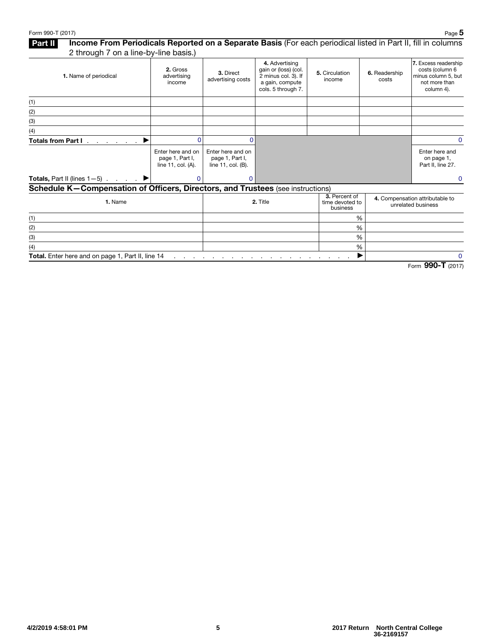### Part II Income From Periodicals Reported on a Separate Basis (For each periodical listed in Part II, fill in columns 2 through 7 on a line-by-line basis.)

|                                                                                 | $\overline{\phantom{a}}$                                      |                                                            |                                                                                                        |                                                       |                        |                                                                                               |
|---------------------------------------------------------------------------------|---------------------------------------------------------------|------------------------------------------------------------|--------------------------------------------------------------------------------------------------------|-------------------------------------------------------|------------------------|-----------------------------------------------------------------------------------------------|
| 1. Name of periodical                                                           | 2. Gross<br>advertising<br>income                             | 3. Direct<br>advertising costs                             | 4. Advertising<br>gain or (loss) (col.<br>2 minus col. 3). If<br>a gain, compute<br>cols. 5 through 7. | 5. Circulation<br>income                              | 6. Readership<br>costs | 7. Excess readership<br>costs (column 6<br>minus column 5, but<br>not more than<br>column 4). |
| (1)                                                                             |                                                               |                                                            |                                                                                                        |                                                       |                        |                                                                                               |
| (2)                                                                             |                                                               |                                                            |                                                                                                        |                                                       |                        |                                                                                               |
| (3)                                                                             |                                                               |                                                            |                                                                                                        |                                                       |                        |                                                                                               |
| (4)                                                                             |                                                               |                                                            |                                                                                                        |                                                       |                        |                                                                                               |
| <b>Totals from Part I</b>                                                       |                                                               | ŋ                                                          |                                                                                                        |                                                       |                        | $\Omega$                                                                                      |
|                                                                                 | Enter here and on<br>page 1, Part I,<br>line 11, $col. (A)$ . | Enter here and on<br>page 1, Part I,<br>line 11, col. (B). |                                                                                                        |                                                       |                        | Enter here and<br>on page 1,<br>Part II, line 27.                                             |
| <b>Totals, Part II (lines 1-5)</b> $\blacktriangleright$                        | $\Omega$                                                      | 0                                                          |                                                                                                        |                                                       |                        | $\mathbf 0$                                                                                   |
| Schedule K-Compensation of Officers, Directors, and Trustees (see instructions) |                                                               |                                                            |                                                                                                        |                                                       |                        |                                                                                               |
| 1. Name                                                                         |                                                               | 2. Title                                                   | 3. Percent of<br>time devoted to<br>business                                                           | 4. Compensation attributable to<br>unrelated business |                        |                                                                                               |
| (1)                                                                             |                                                               |                                                            |                                                                                                        | %                                                     |                        |                                                                                               |
| (2)                                                                             |                                                               |                                                            |                                                                                                        | %                                                     |                        |                                                                                               |
| (3)                                                                             |                                                               |                                                            |                                                                                                        | %                                                     |                        |                                                                                               |
| (4)                                                                             |                                                               |                                                            |                                                                                                        | %                                                     |                        |                                                                                               |
| Total. Enter here and on page 1, Part II, line 14                               | and the company of the                                        |                                                            |                                                                                                        |                                                       |                        | $\mathbf 0$                                                                                   |

Form 990-T (2017)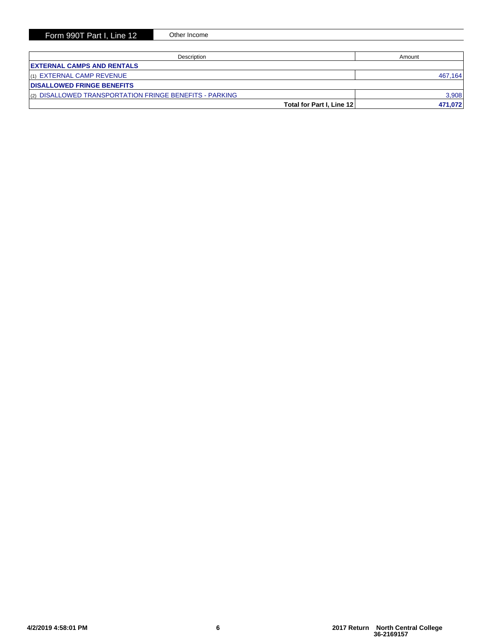| Description                                             | Amount  |
|---------------------------------------------------------|---------|
| <b>EXTERNAL CAMPS AND RENTALS</b>                       |         |
| $(1)$ EXTERNAL CAMP REVENUE                             | 467,164 |
| <b>DISALLOWED FRINGE BENEFITS</b>                       |         |
| (2) DISALLOWED TRANSPORTATION FRINGE BENEFITS - PARKING | 3,908   |
| Total for Part I, Line 12                               | 471.072 |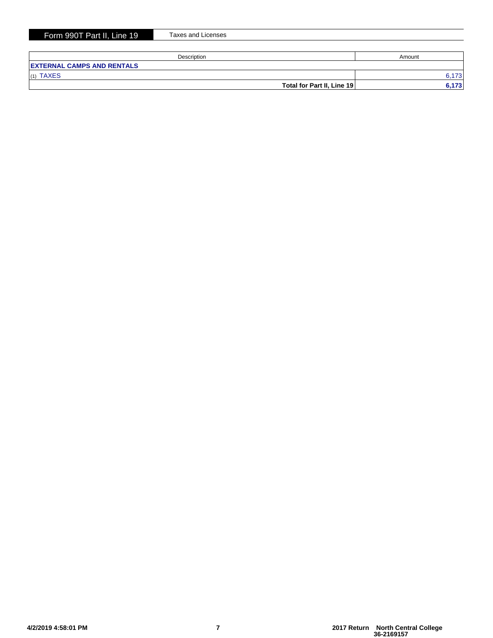|  |  | Form 990T Part II. Line 19 |  |  |
|--|--|----------------------------|--|--|
|--|--|----------------------------|--|--|

Taxes and Licenses

| Description                       | Amount |
|-----------------------------------|--------|
| <b>EXTERNAL CAMPS AND RENTALS</b> |        |
| (1) TAXES                         | 6.173  |
| Total for Part II, Line 19        | 6,173  |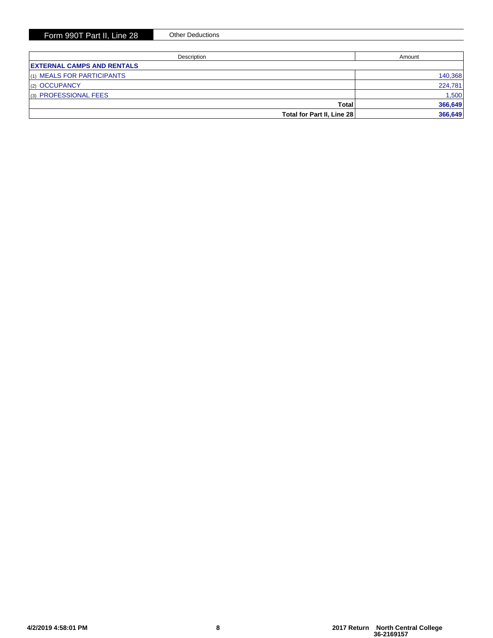| Description                       | Amount  |  |
|-----------------------------------|---------|--|
| <b>EXTERNAL CAMPS AND RENTALS</b> |         |  |
| $(1)$ MEALS FOR PARTICIPANTS      | 140,368 |  |
| $ _{(2)}$ OCCUPANCY               | 224,781 |  |
| (3) PROFESSIONAL FEES             | 1,500   |  |
| Total                             | 366,649 |  |
| Total for Part II, Line 28        | 366,649 |  |